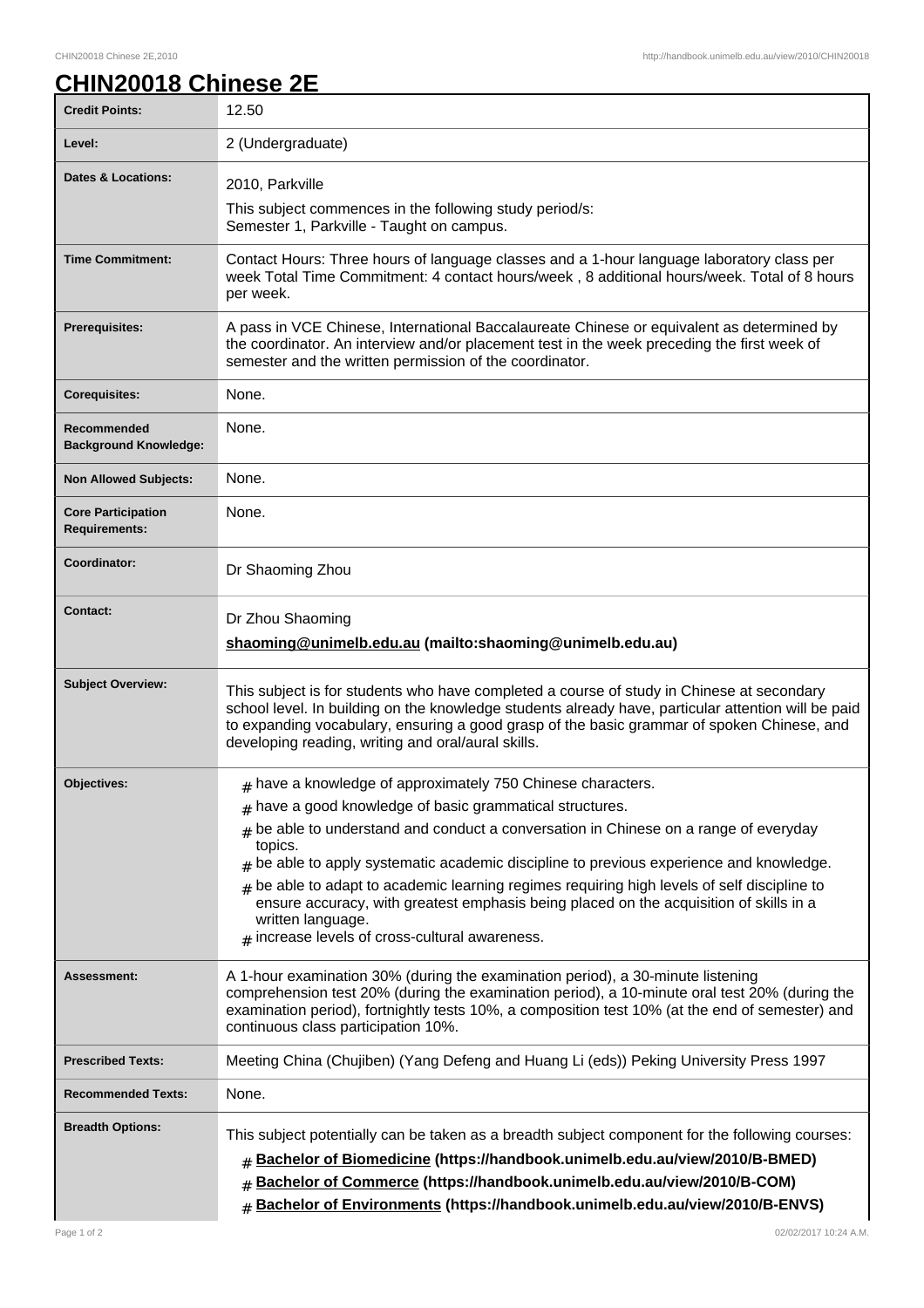## **CHIN20018 Chinese 2E**

| <b>Credit Points:</b>                             | 12.50                                                                                                                                                                                                                                                                                                                                                |
|---------------------------------------------------|------------------------------------------------------------------------------------------------------------------------------------------------------------------------------------------------------------------------------------------------------------------------------------------------------------------------------------------------------|
| Level:                                            | 2 (Undergraduate)                                                                                                                                                                                                                                                                                                                                    |
| <b>Dates &amp; Locations:</b>                     | 2010, Parkville                                                                                                                                                                                                                                                                                                                                      |
|                                                   | This subject commences in the following study period/s:<br>Semester 1, Parkville - Taught on campus.                                                                                                                                                                                                                                                 |
| <b>Time Commitment:</b>                           | Contact Hours: Three hours of language classes and a 1-hour language laboratory class per<br>week Total Time Commitment: 4 contact hours/week, 8 additional hours/week. Total of 8 hours<br>per week.                                                                                                                                                |
| <b>Prerequisites:</b>                             | A pass in VCE Chinese, International Baccalaureate Chinese or equivalent as determined by<br>the coordinator. An interview and/or placement test in the week preceding the first week of<br>semester and the written permission of the coordinator.                                                                                                  |
| <b>Corequisites:</b>                              | None.                                                                                                                                                                                                                                                                                                                                                |
| Recommended<br><b>Background Knowledge:</b>       | None.                                                                                                                                                                                                                                                                                                                                                |
| <b>Non Allowed Subjects:</b>                      | None.                                                                                                                                                                                                                                                                                                                                                |
| <b>Core Participation</b><br><b>Requirements:</b> | None.                                                                                                                                                                                                                                                                                                                                                |
| Coordinator:                                      | Dr Shaoming Zhou                                                                                                                                                                                                                                                                                                                                     |
| <b>Contact:</b>                                   | Dr Zhou Shaoming<br>shaoming@unimelb.edu.au (mailto:shaoming@unimelb.edu.au)                                                                                                                                                                                                                                                                         |
| <b>Subject Overview:</b>                          | This subject is for students who have completed a course of study in Chinese at secondary<br>school level. In building on the knowledge students already have, particular attention will be paid<br>to expanding vocabulary, ensuring a good grasp of the basic grammar of spoken Chinese, and<br>developing reading, writing and oral/aural skills. |
| <b>Objectives:</b>                                | $#$ have a knowledge of approximately 750 Chinese characters.                                                                                                                                                                                                                                                                                        |
|                                                   | $#$ have a good knowledge of basic grammatical structures.<br>$#$ be able to understand and conduct a conversation in Chinese on a range of everyday                                                                                                                                                                                                 |
|                                                   | topics.                                                                                                                                                                                                                                                                                                                                              |
|                                                   | $#$ be able to apply systematic academic discipline to previous experience and knowledge.<br>be able to adapt to academic learning regimes requiring high levels of self discipline to<br>#                                                                                                                                                          |
|                                                   | ensure accuracy, with greatest emphasis being placed on the acquisition of skills in a<br>written language.<br>$#$ increase levels of cross-cultural awareness.                                                                                                                                                                                      |
| Assessment:                                       | A 1-hour examination 30% (during the examination period), a 30-minute listening<br>comprehension test 20% (during the examination period), a 10-minute oral test 20% (during the<br>examination period), fortnightly tests 10%, a composition test 10% (at the end of semester) and<br>continuous class participation 10%.                           |
| <b>Prescribed Texts:</b>                          | Meeting China (Chujiben) (Yang Defeng and Huang Li (eds)) Peking University Press 1997                                                                                                                                                                                                                                                               |
| <b>Recommended Texts:</b>                         | None.                                                                                                                                                                                                                                                                                                                                                |
| <b>Breadth Options:</b>                           | This subject potentially can be taken as a breadth subject component for the following courses:<br># Bachelor of Biomedicine (https://handbook.unimelb.edu.au/view/2010/B-BMED)<br>Bachelor of Commerce (https://handbook.unimelb.edu.au/view/2010/B-COM)<br>Bachelor of Environments (https://handbook.unimelb.edu.au/view/2010/B-ENVS)<br>#        |